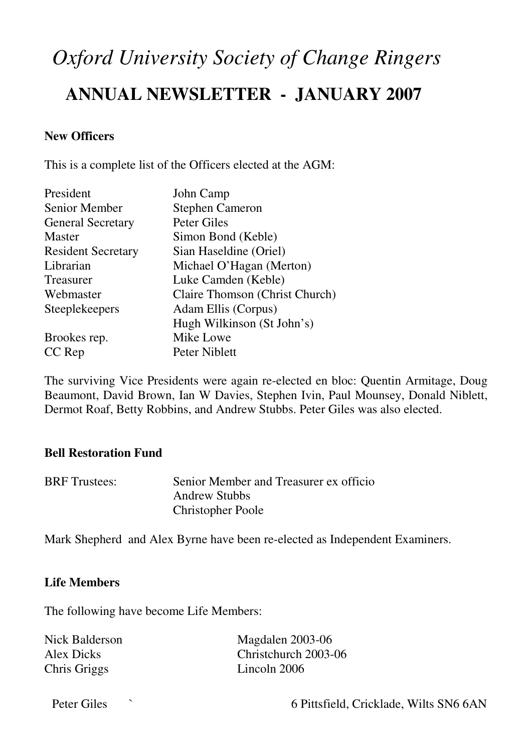# *Oxford University Society of Change Ringers*  **ANNUAL NEWSLETTER - JANUARY 2007**

## **New Officers**

This is a complete list of the Officers elected at the AGM:

| President                 | John Camp                      |  |
|---------------------------|--------------------------------|--|
| <b>Senior Member</b>      | <b>Stephen Cameron</b>         |  |
| <b>General Secretary</b>  | Peter Giles                    |  |
| <b>Master</b>             | Simon Bond (Keble)             |  |
| <b>Resident Secretary</b> | Sian Haseldine (Oriel)         |  |
| Librarian                 | Michael O'Hagan (Merton)       |  |
| Treasurer                 | Luke Camden (Keble)            |  |
| Webmaster                 | Claire Thomson (Christ Church) |  |
| <b>Steeplekeepers</b>     | Adam Ellis (Corpus)            |  |
|                           | Hugh Wilkinson (St John's)     |  |
| Brookes rep.              | Mike Lowe                      |  |
| CC Rep                    | Peter Niblett                  |  |

The surviving Vice Presidents were again re-elected en bloc: Quentin Armitage, Doug Beaumont, David Brown, Ian W Davies, Stephen Ivin, Paul Mounsey, Donald Niblett, Dermot Roaf, Betty Robbins, and Andrew Stubbs. Peter Giles was also elected.

## **Bell Restoration Fund**

| <b>BRF</b> Trustees: | Senior Member and Treasurer ex officio |
|----------------------|----------------------------------------|
|                      | <b>Andrew Stubbs</b>                   |
|                      | <b>Christopher Poole</b>               |

Mark Shepherd and Alex Byrne have been re-elected as Independent Examiners.

## **Life Members**

The following have become Life Members:

| Nick Balderson | Magdalen 2003-06     |
|----------------|----------------------|
| Alex Dicks     | Christchurch 2003-06 |
| Chris Griggs   | Lincoln 2006         |

Peter Giles  $\sim$  6 Pittsfield, Cricklade, Wilts SN6 6AN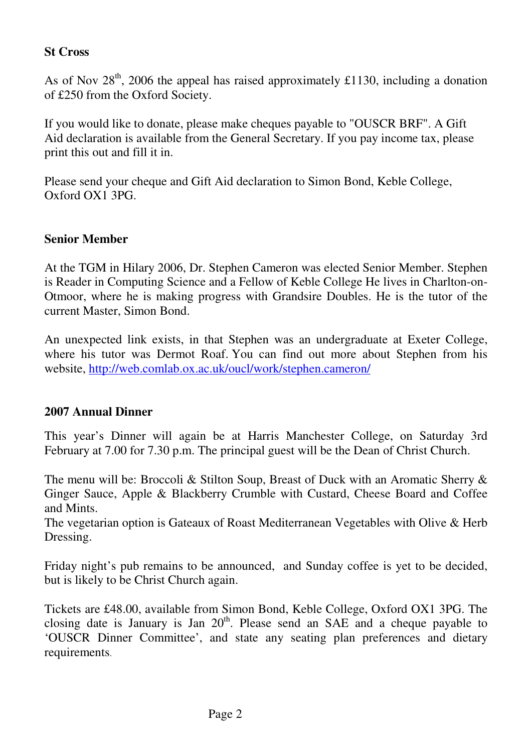## **St Cross**

As of Nov  $28<sup>th</sup>$ , 2006 the appeal has raised approximately £1130, including a donation of £250 from the Oxford Society.

If you would like to donate, please make cheques payable to "OUSCR BRF". A Gift Aid declaration is available from the General Secretary. If you pay income tax, please print this out and fill it in.

Please send your cheque and Gift Aid declaration to Simon Bond, Keble College, Oxford OX1 3PG.

# **Senior Member**

At the TGM in Hilary 2006, Dr. Stephen Cameron was elected Senior Member. Stephen is Reader in Computing Science and a Fellow of Keble College He lives in Charlton-on-Otmoor, where he is making progress with Grandsire Doubles. He is the tutor of the current Master, Simon Bond.

An unexpected link exists, in that Stephen was an undergraduate at Exeter College, where his tutor was Dermot Roaf. You can find out more about Stephen from his website, http://web.comlab.ox.ac.uk/oucl/work/stephen.cameron/

## **2007 Annual Dinner**

This year's Dinner will again be at Harris Manchester College, on Saturday 3rd February at 7.00 for 7.30 p.m. The principal guest will be the Dean of Christ Church.

The menu will be: Broccoli & Stilton Soup, Breast of Duck with an Aromatic Sherry & Ginger Sauce, Apple & Blackberry Crumble with Custard, Cheese Board and Coffee and Mints.

The vegetarian option is Gateaux of Roast Mediterranean Vegetables with Olive & Herb Dressing.

Friday night's pub remains to be announced, and Sunday coffee is yet to be decided, but is likely to be Christ Church again.

Tickets are £48.00, available from Simon Bond, Keble College, Oxford OX1 3PG. The closing date is January is Jan  $20<sup>th</sup>$ . Please send an SAE and a cheque payable to 'OUSCR Dinner Committee', and state any seating plan preferences and dietary requirements.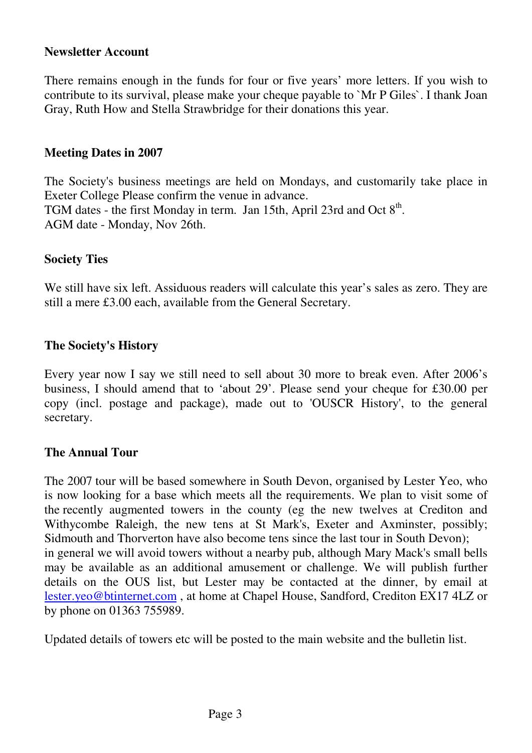#### **Newsletter Account**

There remains enough in the funds for four or five years' more letters. If you wish to contribute to its survival, please make your cheque payable to `Mr P Giles`. I thank Joan Gray, Ruth How and Stella Strawbridge for their donations this year.

#### **Meeting Dates in 2007**

The Society's business meetings are held on Mondays, and customarily take place in Exeter College Please confirm the venue in advance. TGM dates - the first Monday in term. Jan 15th, April 23rd and Oct  $8<sup>th</sup>$ . AGM date - Monday, Nov 26th.

## **Society Ties**

We still have six left. Assiduous readers will calculate this year's sales as zero. They are still a mere £3.00 each, available from the General Secretary.

#### **The Society's History**

Every year now I say we still need to sell about 30 more to break even. After 2006's business, I should amend that to 'about 29'. Please send your cheque for £30.00 per copy (incl. postage and package), made out to 'OUSCR History', to the general secretary.

## **The Annual Tour**

The 2007 tour will be based somewhere in South Devon, organised by Lester Yeo, who is now looking for a base which meets all the requirements. We plan to visit some of the recently augmented towers in the county (eg the new twelves at Crediton and Withycombe Raleigh, the new tens at St Mark's, Exeter and Axminster, possibly; Sidmouth and Thorverton have also become tens since the last tour in South Devon); in general we will avoid towers without a nearby pub, although Mary Mack's small bells may be available as an additional amusement or challenge. We will publish further details on the OUS list, but Lester may be contacted at the dinner, by email at lester.yeo@btinternet.com , at home at Chapel House, Sandford, Crediton EX17 4LZ or by phone on 01363 755989.

Updated details of towers etc will be posted to the main website and the bulletin list.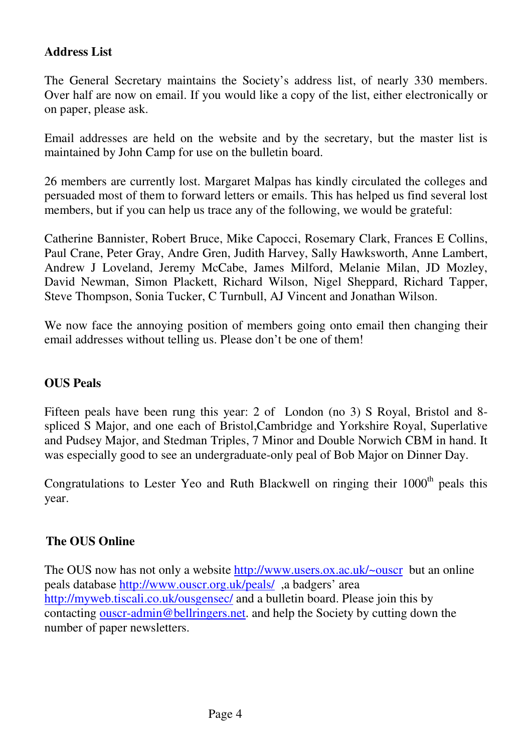# **Address List**

The General Secretary maintains the Society's address list, of nearly 330 members. Over half are now on email. If you would like a copy of the list, either electronically or on paper, please ask.

Email addresses are held on the website and by the secretary, but the master list is maintained by John Camp for use on the bulletin board.

26 members are currently lost. Margaret Malpas has kindly circulated the colleges and persuaded most of them to forward letters or emails. This has helped us find several lost members, but if you can help us trace any of the following, we would be grateful:

Catherine Bannister, Robert Bruce, Mike Capocci, Rosemary Clark, Frances E Collins, Paul Crane, Peter Gray, Andre Gren, Judith Harvey, Sally Hawksworth, Anne Lambert, Andrew J Loveland, Jeremy McCabe, James Milford, Melanie Milan, JD Mozley, David Newman, Simon Plackett, Richard Wilson, Nigel Sheppard, Richard Tapper, Steve Thompson, Sonia Tucker, C Turnbull, AJ Vincent and Jonathan Wilson.

We now face the annoying position of members going onto email then changing their email addresses without telling us. Please don't be one of them!

# **OUS Peals**

Fifteen peals have been rung this year: 2 of London (no 3) S Royal, Bristol and 8 spliced S Major, and one each of Bristol,Cambridge and Yorkshire Royal, Superlative and Pudsey Major, and Stedman Triples, 7 Minor and Double Norwich CBM in hand. It was especially good to see an undergraduate-only peal of Bob Major on Dinner Day.

Congratulations to Lester Yeo and Ruth Blackwell on ringing their  $1000<sup>th</sup>$  peals this year.

## **The OUS Online**

The OUS now has not only a website http://www.users.ox.ac.uk/~ouscr but an online peals database http://www.ouscr.org.uk/peals/ ,a badgers' area http://myweb.tiscali.co.uk/ousgensec/ and a bulletin board. Please join this by contacting ouscr-admin@bellringers.net. and help the Society by cutting down the number of paper newsletters.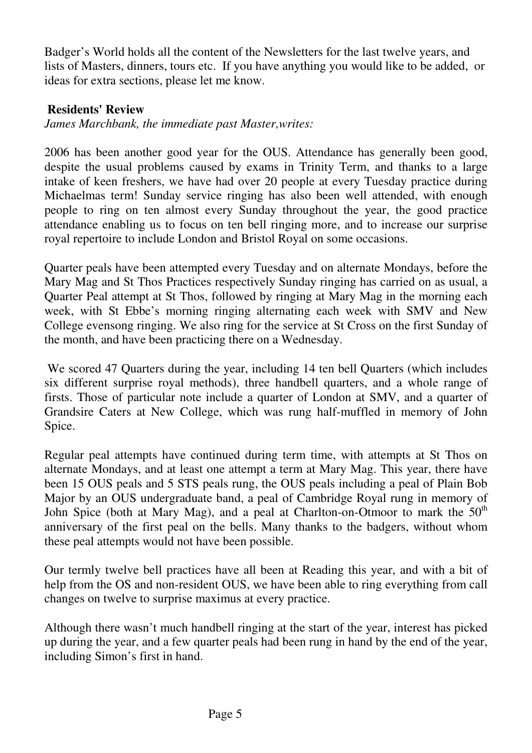Badger's World holds all the content of the Newsletters for the last twelve years, and lists of Masters, dinners, tours etc. If you have anything you would like to be added, or ideas for extra sections, please let me know.

# **Residents' Review**

*James Marchbank, the immediate past Master,writes:* 

2006 has been another good year for the OUS. Attendance has generally been good, despite the usual problems caused by exams in Trinity Term, and thanks to a large intake of keen freshers, we have had over 20 people at every Tuesday practice during Michaelmas term! Sunday service ringing has also been well attended, with enough people to ring on ten almost every Sunday throughout the year, the good practice attendance enabling us to focus on ten bell ringing more, and to increase our surprise royal repertoire to include London and Bristol Royal on some occasions.

Quarter peals have been attempted every Tuesday and on alternate Mondays, before the Mary Mag and St Thos Practices respectively Sunday ringing has carried on as usual, a Quarter Peal attempt at St Thos, followed by ringing at Mary Mag in the morning each week, with St Ebbe's morning ringing alternating each week with SMV and New College evensong ringing. We also ring for the service at St Cross on the first Sunday of the month, and have been practicing there on a Wednesday.

 We scored 47 Quarters during the year, including 14 ten bell Quarters (which includes six different surprise royal methods), three handbell quarters, and a whole range of firsts. Those of particular note include a quarter of London at SMV, and a quarter of Grandsire Caters at New College, which was rung half-muffled in memory of John Spice.

Regular peal attempts have continued during term time, with attempts at St Thos on alternate Mondays, and at least one attempt a term at Mary Mag. This year, there have been 15 OUS peals and 5 STS peals rung, the OUS peals including a peal of Plain Bob Major by an OUS undergraduate band, a peal of Cambridge Royal rung in memory of John Spice (both at Mary Mag), and a peal at Charlton-on-Otmoor to mark the  $50<sup>th</sup>$ anniversary of the first peal on the bells. Many thanks to the badgers, without whom these peal attempts would not have been possible.

Our termly twelve bell practices have all been at Reading this year, and with a bit of help from the OS and non-resident OUS, we have been able to ring everything from call changes on twelve to surprise maximus at every practice.

Although there wasn't much handbell ringing at the start of the year, interest has picked up during the year, and a few quarter peals had been rung in hand by the end of the year, including Simon's first in hand.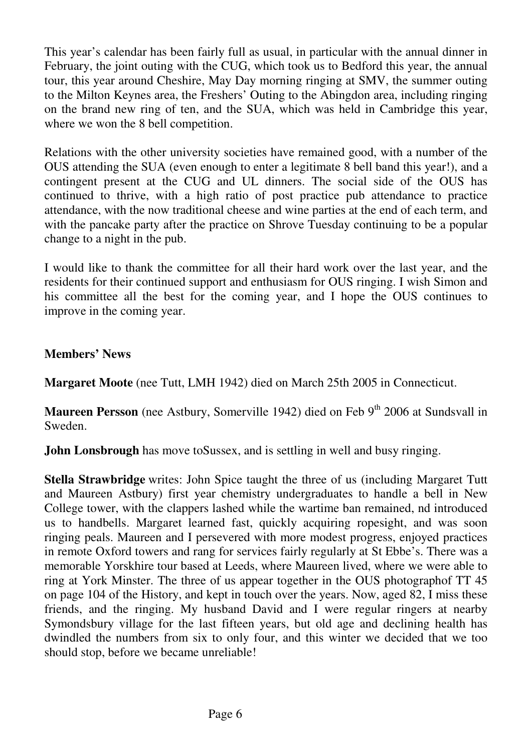This year's calendar has been fairly full as usual, in particular with the annual dinner in February, the joint outing with the CUG, which took us to Bedford this year, the annual tour, this year around Cheshire, May Day morning ringing at SMV, the summer outing to the Milton Keynes area, the Freshers' Outing to the Abingdon area, including ringing on the brand new ring of ten, and the SUA, which was held in Cambridge this year, where we won the 8 bell competition.

Relations with the other university societies have remained good, with a number of the OUS attending the SUA (even enough to enter a legitimate 8 bell band this year!), and a contingent present at the CUG and UL dinners. The social side of the OUS has continued to thrive, with a high ratio of post practice pub attendance to practice attendance, with the now traditional cheese and wine parties at the end of each term, and with the pancake party after the practice on Shrove Tuesday continuing to be a popular change to a night in the pub.

I would like to thank the committee for all their hard work over the last year, and the residents for their continued support and enthusiasm for OUS ringing. I wish Simon and his committee all the best for the coming year, and I hope the OUS continues to improve in the coming year.

# **Members' News**

**Margaret Moote** (nee Tutt, LMH 1942) died on March 25th 2005 in Connecticut.

**Maureen Persson** (nee Astbury, Somerville 1942) died on Feb 9<sup>th</sup> 2006 at Sundsvall in Sweden.

**John Lonsbrough** has move to Sussex, and is settling in well and busy ringing.

**Stella Strawbridge** writes: John Spice taught the three of us (including Margaret Tutt and Maureen Astbury) first year chemistry undergraduates to handle a bell in New College tower, with the clappers lashed while the wartime ban remained, nd introduced us to handbells. Margaret learned fast, quickly acquiring ropesight, and was soon ringing peals. Maureen and I persevered with more modest progress, enjoyed practices in remote Oxford towers and rang for services fairly regularly at St Ebbe's. There was a memorable Yorskhire tour based at Leeds, where Maureen lived, where we were able to ring at York Minster. The three of us appear together in the OUS photographof TT 45 on page 104 of the History, and kept in touch over the years. Now, aged 82, I miss these friends, and the ringing. My husband David and I were regular ringers at nearby Symondsbury village for the last fifteen years, but old age and declining health has dwindled the numbers from six to only four, and this winter we decided that we too should stop, before we became unreliable!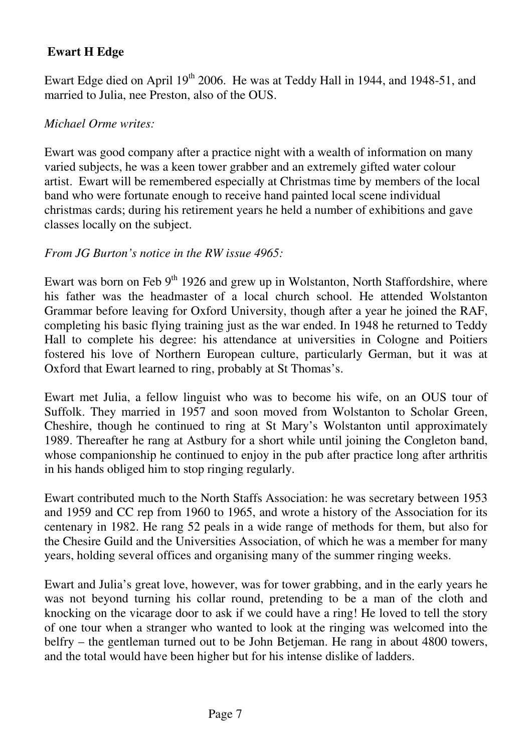# **Ewart H Edge**

Ewart Edge died on April  $19<sup>th</sup>$  2006. He was at Teddy Hall in 1944, and 1948-51, and married to Julia, nee Preston, also of the OUS.

## *Michael Orme writes:*

Ewart was good company after a practice night with a wealth of information on many varied subjects, he was a keen tower grabber and an extremely gifted water colour artist. Ewart will be remembered especially at Christmas time by members of the local band who were fortunate enough to receive hand painted local scene individual christmas cards; during his retirement years he held a number of exhibitions and gave classes locally on the subject.

## *From JG Burton's notice in the RW issue 4965:*

Ewart was born on Feb  $9<sup>th</sup>$  1926 and grew up in Wolstanton, North Staffordshire, where his father was the headmaster of a local church school. He attended Wolstanton Grammar before leaving for Oxford University, though after a year he joined the RAF, completing his basic flying training just as the war ended. In 1948 he returned to Teddy Hall to complete his degree: his attendance at universities in Cologne and Poitiers fostered his love of Northern European culture, particularly German, but it was at Oxford that Ewart learned to ring, probably at St Thomas's.

Ewart met Julia, a fellow linguist who was to become his wife, on an OUS tour of Suffolk. They married in 1957 and soon moved from Wolstanton to Scholar Green, Cheshire, though he continued to ring at St Mary's Wolstanton until approximately 1989. Thereafter he rang at Astbury for a short while until joining the Congleton band, whose companionship he continued to enjoy in the pub after practice long after arthritis in his hands obliged him to stop ringing regularly.

Ewart contributed much to the North Staffs Association: he was secretary between 1953 and 1959 and CC rep from 1960 to 1965, and wrote a history of the Association for its centenary in 1982. He rang 52 peals in a wide range of methods for them, but also for the Chesire Guild and the Universities Association, of which he was a member for many years, holding several offices and organising many of the summer ringing weeks.

Ewart and Julia's great love, however, was for tower grabbing, and in the early years he was not beyond turning his collar round, pretending to be a man of the cloth and knocking on the vicarage door to ask if we could have a ring! He loved to tell the story of one tour when a stranger who wanted to look at the ringing was welcomed into the belfry – the gentleman turned out to be John Betjeman. He rang in about 4800 towers, and the total would have been higher but for his intense dislike of ladders.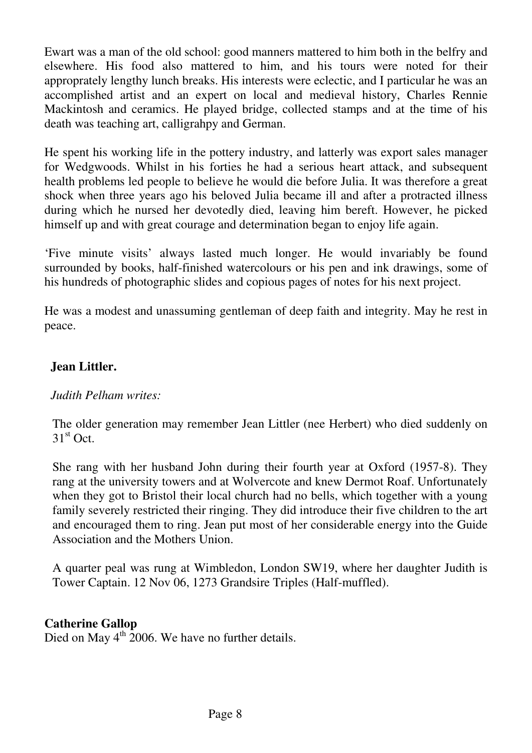Ewart was a man of the old school: good manners mattered to him both in the belfry and elsewhere. His food also mattered to him, and his tours were noted for their approprately lengthy lunch breaks. His interests were eclectic, and I particular he was an accomplished artist and an expert on local and medieval history, Charles Rennie Mackintosh and ceramics. He played bridge, collected stamps and at the time of his death was teaching art, calligrahpy and German.

He spent his working life in the pottery industry, and latterly was export sales manager for Wedgwoods. Whilst in his forties he had a serious heart attack, and subsequent health problems led people to believe he would die before Julia. It was therefore a great shock when three years ago his beloved Julia became ill and after a protracted illness during which he nursed her devotedly died, leaving him bereft. However, he picked himself up and with great courage and determination began to enjoy life again.

'Five minute visits' always lasted much longer. He would invariably be found surrounded by books, half-finished watercolours or his pen and ink drawings, some of his hundreds of photographic slides and copious pages of notes for his next project.

He was a modest and unassuming gentleman of deep faith and integrity. May he rest in peace. Î

# **Jean Littler.**

## *Judith Pelham writes:*

The older generation may remember Jean Littler (nee Herbert) who died suddenly on  $31<sup>st</sup>$  Oct.

She rang with her husband John during their fourth year at Oxford (1957-8). They rang at the university towers and at Wolvercote and knew Dermot Roaf. Unfortunately when they got to Bristol their local church had no bells, which together with a young family severely restricted their ringing. They did introduce their five children to the art and encouraged them to ring. Jean put most of her considerable energy into the Guide Association and the Mothers Union.

A quarter peal was rung at Wimbledon, London SW19, where her daughter Judith is Tower Captain. 12 Nov 06, 1273 Grandsire Triples (Half-muffled).

# **Catherine Gallop**

Died on May  $4<sup>th</sup>$  2006. We have no further details.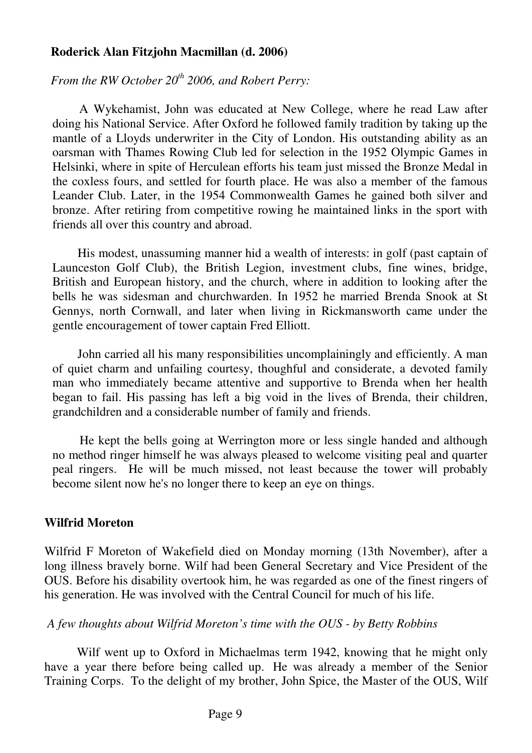#### **Roderick Alan Fitzjohn Macmillan (d. 2006)**

*From the RW October 20th 2006, and Robert Perry:*

 A Wykehamist, John was educated at New College, where he read Law after doing his National Service. After Oxford he followed family tradition by taking up the mantle of a Lloyds underwriter in the City of London. His outstanding ability as an oarsman with Thames Rowing Club led for selection in the 1952 Olympic Games in Helsinki, where in spite of Herculean efforts his team just missed the Bronze Medal in the coxless fours, and settled for fourth place. He was also a member of the famous Leander Club. Later, in the 1954 Commonwealth Games he gained both silver and bronze. After retiring from competitive rowing he maintained links in the sport with friends all over this country and abroad.

 His modest, unassuming manner hid a wealth of interests: in golf (past captain of Launceston Golf Club), the British Legion, investment clubs, fine wines, bridge, British and European history, and the church, where in addition to looking after the bells he was sidesman and churchwarden. In 1952 he married Brenda Snook at St Gennys, north Cornwall, and later when living in Rickmansworth came under the gentle encouragement of tower captain Fred Elliott.

 John carried all his many responsibilities uncomplainingly and efficiently. A man of quiet charm and unfailing courtesy, thoughful and considerate, a devoted family man who immediately became attentive and supportive to Brenda when her health began to fail. His passing has left a big void in the lives of Brenda, their children, grandchildren and a considerable number of family and friends.

 He kept the bells going at Werrington more or less single handed and although no method ringer himself he was always pleased to welcome visiting peal and quarter peal ringers. He will be much missed, not least because the tower will probably become silent now he's no longer there to keep an eye on things.

## **Wilfrid Moreton**

Wilfrid F Moreton of Wakefield died on Monday morning (13th November), after a long illness bravely borne. Wilf had been General Secretary and Vice President of the OUS. Before his disability overtook him, he was regarded as one of the finest ringers of his generation. He was involved with the Central Council for much of his life.

#### *A few thoughts about Wilfrid Moreton's time with the OUS - by Betty Robbins*

 Wilf went up to Oxford in Michaelmas term 1942, knowing that he might only have a year there before being called up. He was already a member of the Senior Training Corps. To the delight of my brother, John Spice, the Master of the OUS, Wilf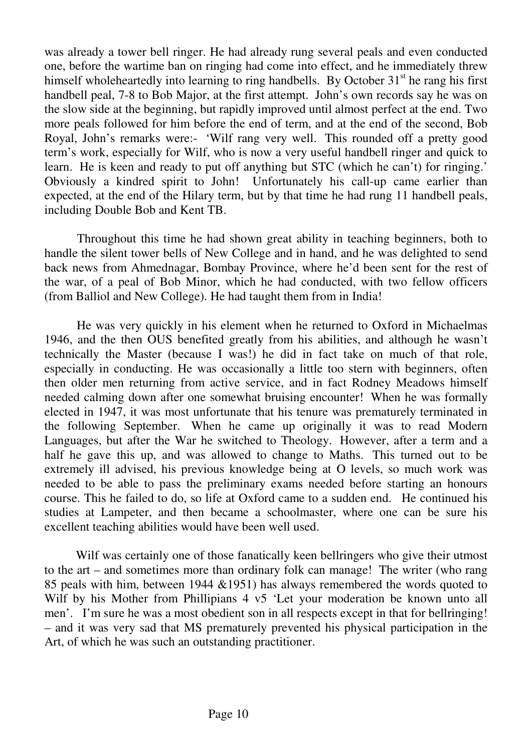was already a tower bell ringer. He had already rung several peals and even conducted one, before the wartime ban on ringing had come into effect, and he immediately threw himself wholeheartedly into learning to ring handbells. By October 31<sup>st</sup> he rang his first handbell peal, 7-8 to Bob Major, at the first attempt. John's own records say he was on the slow side at the beginning, but rapidly improved until almost perfect at the end. Two more peals followed for him before the end of term, and at the end of the second, Bob Royal, John's remarks were:- 'Wilf rang very well. This rounded off a pretty good term's work, especially for Wilf, who is now a very useful handbell ringer and quick to learn. He is keen and ready to put off anything but STC (which he can't) for ringing.' Obviously a kindred spirit to John! Unfortunately his call-up came earlier than expected, at the end of the Hilary term, but by that time he had rung 11 handbell peals, including Double Bob and Kent TB.

 Throughout this time he had shown great ability in teaching beginners, both to handle the silent tower bells of New College and in hand, and he was delighted to send back news from Ahmednagar, Bombay Province, where he'd been sent for the rest of the war, of a peal of Bob Minor, which he had conducted, with two fellow officers (from Balliol and New College). He had taught them from in India!

 He was very quickly in his element when he returned to Oxford in Michaelmas 1946, and the then OUS benefited greatly from his abilities, and although he wasn't technically the Master (because I was!) he did in fact take on much of that role, especially in conducting. He was occasionally a little too stern with beginners, often then older men returning from active service, and in fact Rodney Meadows himself needed calming down after one somewhat bruising encounter! When he was formally elected in 1947, it was most unfortunate that his tenure was prematurely terminated in the following September. When he came up originally it was to read Modern Languages, but after the War he switched to Theology. However, after a term and a half he gave this up, and was allowed to change to Maths. This turned out to be extremely ill advised, his previous knowledge being at O levels, so much work was needed to be able to pass the preliminary exams needed before starting an honours course. This he failed to do, so life at Oxford came to a sudden end. He continued his studies at Lampeter, and then became a schoolmaster, where one can be sure his excellent teaching abilities would have been well used.

 Wilf was certainly one of those fanatically keen bellringers who give their utmost to the art – and sometimes more than ordinary folk can manage! The writer (who rang 85 peals with him, between 1944 &1951) has always remembered the words quoted to Wilf by his Mother from Phillipians 4 v5 'Let your moderation be known unto all men'. I'm sure he was a most obedient son in all respects except in that for bellringing! – and it was very sad that MS prematurely prevented his physical participation in the Art, of which he was such an outstanding practitioner.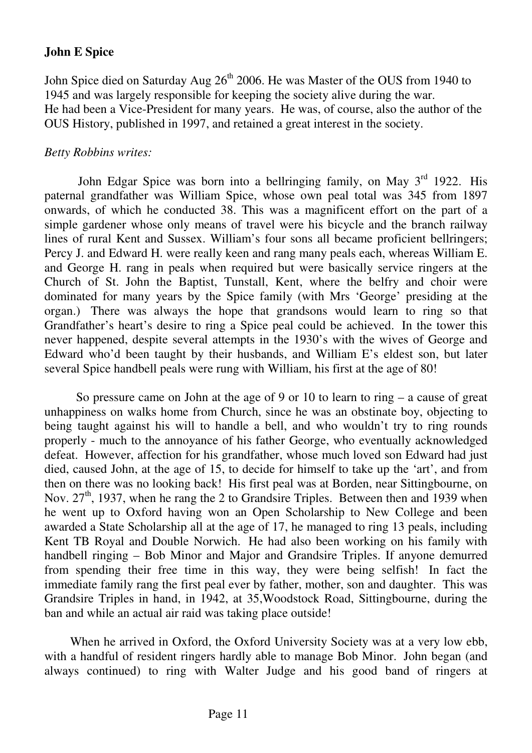# **John E Spice**

John Spice died on Saturday Aug 26<sup>th</sup> 2006. He was Master of the OUS from 1940 to 1945 and was largely responsible for keeping the society alive during the war. He had been a Vice-President for many years. He was, of course, also the author of the OUS History, published in 1997, and retained a great interest in the society.

## *Betty Robbins writes:*

John Edgar Spice was born into a bellringing family, on May  $3<sup>rd</sup>$  1922. His paternal grandfather was William Spice, whose own peal total was 345 from 1897 onwards, of which he conducted 38. This was a magnificent effort on the part of a simple gardener whose only means of travel were his bicycle and the branch railway lines of rural Kent and Sussex. William's four sons all became proficient bellringers; Percy J. and Edward H. were really keen and rang many peals each, whereas William E. and George H. rang in peals when required but were basically service ringers at the Church of St. John the Baptist, Tunstall, Kent, where the belfry and choir were dominated for many years by the Spice family (with Mrs 'George' presiding at the organ.) There was always the hope that grandsons would learn to ring so that Grandfather's heart's desire to ring a Spice peal could be achieved. In the tower this never happened, despite several attempts in the 1930's with the wives of George and Edward who'd been taught by their husbands, and William E's eldest son, but later several Spice handbell peals were rung with William, his first at the age of 80!

 So pressure came on John at the age of 9 or 10 to learn to ring – a cause of great unhappiness on walks home from Church, since he was an obstinate boy, objecting to being taught against his will to handle a bell, and who wouldn't try to ring rounds properly - much to the annoyance of his father George, who eventually acknowledged defeat. However, affection for his grandfather, whose much loved son Edward had just died, caused John, at the age of 15, to decide for himself to take up the 'art', and from then on there was no looking back! His first peal was at Borden, near Sittingbourne, on Nov.  $27<sup>th</sup>$ , 1937, when he rang the 2 to Grandsire Triples. Between then and 1939 when he went up to Oxford having won an Open Scholarship to New College and been awarded a State Scholarship all at the age of 17, he managed to ring 13 peals, including Kent TB Royal and Double Norwich. He had also been working on his family with handbell ringing – Bob Minor and Major and Grandsire Triples. If anyone demurred from spending their free time in this way, they were being selfish! In fact the immediate family rang the first peal ever by father, mother, son and daughter. This was Grandsire Triples in hand, in 1942, at 35,Woodstock Road, Sittingbourne, during the ban and while an actual air raid was taking place outside!

When he arrived in Oxford, the Oxford University Society was at a very low ebb. with a handful of resident ringers hardly able to manage Bob Minor. John began (and always continued) to ring with Walter Judge and his good band of ringers at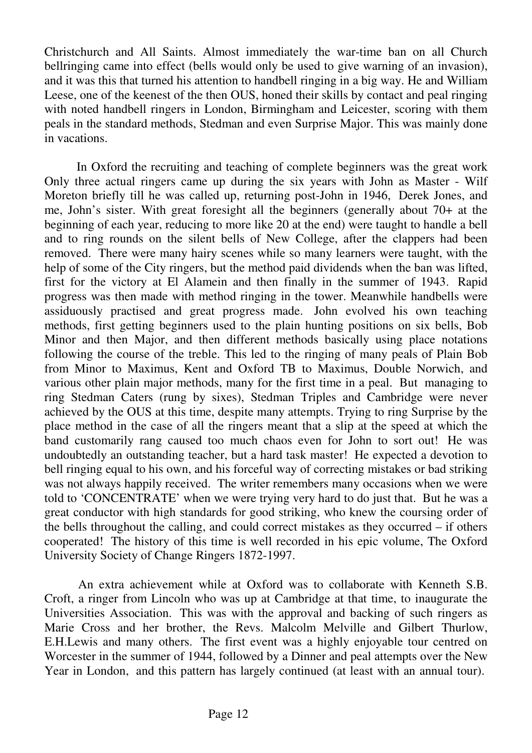Christchurch and All Saints. Almost immediately the war-time ban on all Church bellringing came into effect (bells would only be used to give warning of an invasion), and it was this that turned his attention to handbell ringing in a big way. He and William Leese, one of the keenest of the then OUS, honed their skills by contact and peal ringing with noted handbell ringers in London, Birmingham and Leicester, scoring with them peals in the standard methods, Stedman and even Surprise Major. This was mainly done in vacations.

 In Oxford the recruiting and teaching of complete beginners was the great work Only three actual ringers came up during the six years with John as Master - Wilf Moreton briefly till he was called up, returning post-John in 1946, Derek Jones, and me, John's sister. With great foresight all the beginners (generally about 70+ at the beginning of each year, reducing to more like 20 at the end) were taught to handle a bell and to ring rounds on the silent bells of New College, after the clappers had been removed. There were many hairy scenes while so many learners were taught, with the help of some of the City ringers, but the method paid dividends when the ban was lifted, first for the victory at El Alamein and then finally in the summer of 1943. Rapid progress was then made with method ringing in the tower. Meanwhile handbells were assiduously practised and great progress made. John evolved his own teaching methods, first getting beginners used to the plain hunting positions on six bells, Bob Minor and then Major, and then different methods basically using place notations following the course of the treble. This led to the ringing of many peals of Plain Bob from Minor to Maximus, Kent and Oxford TB to Maximus, Double Norwich, and various other plain major methods, many for the first time in a peal. But managing to ring Stedman Caters (rung by sixes), Stedman Triples and Cambridge were never achieved by the OUS at this time, despite many attempts. Trying to ring Surprise by the place method in the case of all the ringers meant that a slip at the speed at which the band customarily rang caused too much chaos even for John to sort out! He was undoubtedly an outstanding teacher, but a hard task master! He expected a devotion to bell ringing equal to his own, and his forceful way of correcting mistakes or bad striking was not always happily received. The writer remembers many occasions when we were told to 'CONCENTRATE' when we were trying very hard to do just that. But he was a great conductor with high standards for good striking, who knew the coursing order of the bells throughout the calling, and could correct mistakes as they occurred – if others cooperated! The history of this time is well recorded in his epic volume, The Oxford University Society of Change Ringers 1872-1997.

 An extra achievement while at Oxford was to collaborate with Kenneth S.B. Croft, a ringer from Lincoln who was up at Cambridge at that time, to inaugurate the Universities Association. This was with the approval and backing of such ringers as Marie Cross and her brother, the Revs. Malcolm Melville and Gilbert Thurlow, E.H.Lewis and many others. The first event was a highly enjoyable tour centred on Worcester in the summer of 1944, followed by a Dinner and peal attempts over the New Year in London, and this pattern has largely continued (at least with an annual tour).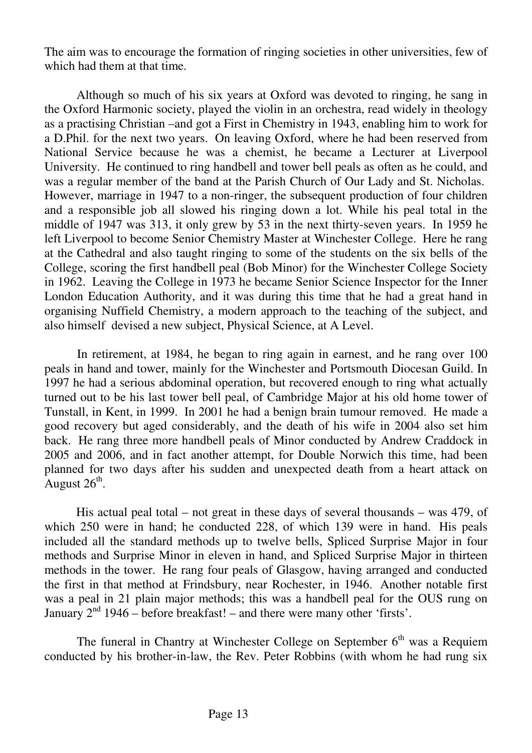The aim was to encourage the formation of ringing societies in other universities, few of which had them at that time.

 Although so much of his six years at Oxford was devoted to ringing, he sang in the Oxford Harmonic society, played the violin in an orchestra, read widely in theology as a practising Christian –and got a First in Chemistry in 1943, enabling him to work for a D.Phil. for the next two years. On leaving Oxford, where he had been reserved from National Service because he was a chemist, he became a Lecturer at Liverpool University. He continued to ring handbell and tower bell peals as often as he could, and was a regular member of the band at the Parish Church of Our Lady and St. Nicholas. However, marriage in 1947 to a non-ringer, the subsequent production of four children and a responsible job all slowed his ringing down a lot. While his peal total in the middle of 1947 was 313, it only grew by 53 in the next thirty-seven years. In 1959 he left Liverpool to become Senior Chemistry Master at Winchester College. Here he rang at the Cathedral and also taught ringing to some of the students on the six bells of the College, scoring the first handbell peal (Bob Minor) for the Winchester College Society in 1962. Leaving the College in 1973 he became Senior Science Inspector for the Inner London Education Authority, and it was during this time that he had a great hand in organising Nuffield Chemistry, a modern approach to the teaching of the subject, and also himself devised a new subject, Physical Science, at A Level.

 In retirement, at 1984, he began to ring again in earnest, and he rang over 100 peals in hand and tower, mainly for the Winchester and Portsmouth Diocesan Guild. In 1997 he had a serious abdominal operation, but recovered enough to ring what actually turned out to be his last tower bell peal, of Cambridge Major at his old home tower of Tunstall, in Kent, in 1999. In 2001 he had a benign brain tumour removed. He made a good recovery but aged considerably, and the death of his wife in 2004 also set him back. He rang three more handbell peals of Minor conducted by Andrew Craddock in 2005 and 2006, and in fact another attempt, for Double Norwich this time, had been planned for two days after his sudden and unexpected death from a heart attack on August  $26^{\text{th}}$ .

 His actual peal total – not great in these days of several thousands – was 479, of which 250 were in hand; he conducted 228, of which 139 were in hand. His peals included all the standard methods up to twelve bells, Spliced Surprise Major in four methods and Surprise Minor in eleven in hand, and Spliced Surprise Major in thirteen methods in the tower. He rang four peals of Glasgow, having arranged and conducted the first in that method at Frindsbury, near Rochester, in 1946. Another notable first was a peal in 21 plain major methods; this was a handbell peal for the OUS rung on January  $2<sup>nd</sup>$  1946 – before breakfast! – and there were many other 'firsts'.

The funeral in Chantry at Winchester College on September  $6<sup>th</sup>$  was a Requiem conducted by his brother-in-law, the Rev. Peter Robbins (with whom he had rung six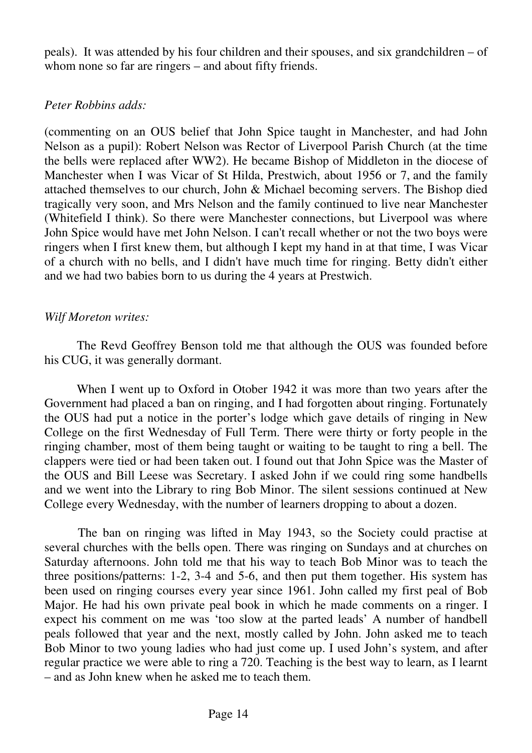peals). It was attended by his four children and their spouses, and six grandchildren – of whom none so far are ringers – and about fifty friends.

## *Peter Robbins adds:*

(commenting on an OUS belief that John Spice taught in Manchester, and had John Nelson as a pupil): Robert Nelson was Rector of Liverpool Parish Church (at the time the bells were replaced after WW2). He became Bishop of Middleton in the diocese of Manchester when I was Vicar of St Hilda, Prestwich, about 1956 or 7, and the family attached themselves to our church, John & Michael becoming servers. The Bishop died tragically very soon, and Mrs Nelson and the family continued to live near Manchester (Whitefield I think). So there were Manchester connections, but Liverpool was where John Spice would have met John Nelson. I can't recall whether or not the two boys were ringers when I first knew them, but although I kept my hand in at that time, I was Vicar of a church with no bells, and I didn't have much time for ringing. Betty didn't either and we had two babies born to us during the 4 years at Prestwich.

## *Wilf Moreton writes:*

 The Revd Geoffrey Benson told me that although the OUS was founded before his CUG, it was generally dormant.

 When I went up to Oxford in Otober 1942 it was more than two years after the Government had placed a ban on ringing, and I had forgotten about ringing. Fortunately the OUS had put a notice in the porter's lodge which gave details of ringing in New College on the first Wednesday of Full Term. There were thirty or forty people in the ringing chamber, most of them being taught or waiting to be taught to ring a bell. The clappers were tied or had been taken out. I found out that John Spice was the Master of the OUS and Bill Leese was Secretary. I asked John if we could ring some handbells and we went into the Library to ring Bob Minor. The silent sessions continued at New College every Wednesday, with the number of learners dropping to about a dozen.

 The ban on ringing was lifted in May 1943, so the Society could practise at several churches with the bells open. There was ringing on Sundays and at churches on Saturday afternoons. John told me that his way to teach Bob Minor was to teach the three positions/patterns: 1-2, 3-4 and 5-6, and then put them together. His system has been used on ringing courses every year since 1961. John called my first peal of Bob Major. He had his own private peal book in which he made comments on a ringer. I expect his comment on me was 'too slow at the parted leads' A number of handbell peals followed that year and the next, mostly called by John. John asked me to teach Bob Minor to two young ladies who had just come up. I used John's system, and after regular practice we were able to ring a 720. Teaching is the best way to learn, as I learnt – and as John knew when he asked me to teach them.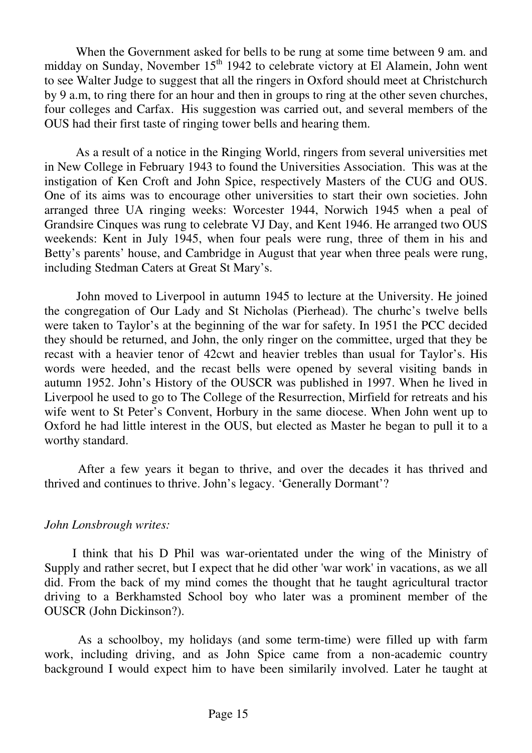When the Government asked for bells to be rung at some time between 9 am. and midday on Sunday, November  $15<sup>th</sup> 1942$  to celebrate victory at El Alamein, John went to see Walter Judge to suggest that all the ringers in Oxford should meet at Christchurch by 9 a.m, to ring there for an hour and then in groups to ring at the other seven churches, four colleges and Carfax. His suggestion was carried out, and several members of the OUS had their first taste of ringing tower bells and hearing them.

 As a result of a notice in the Ringing World, ringers from several universities met in New College in February 1943 to found the Universities Association. This was at the instigation of Ken Croft and John Spice, respectively Masters of the CUG and OUS. One of its aims was to encourage other universities to start their own societies. John arranged three UA ringing weeks: Worcester 1944, Norwich 1945 when a peal of Grandsire Cinques was rung to celebrate VJ Day, and Kent 1946. He arranged two OUS weekends: Kent in July 1945, when four peals were rung, three of them in his and Betty's parents' house, and Cambridge in August that year when three peals were rung, including Stedman Caters at Great St Mary's.

 John moved to Liverpool in autumn 1945 to lecture at the University. He joined the congregation of Our Lady and St Nicholas (Pierhead). The churhc's twelve bells were taken to Taylor's at the beginning of the war for safety. In 1951 the PCC decided they should be returned, and John, the only ringer on the committee, urged that they be recast with a heavier tenor of 42cwt and heavier trebles than usual for Taylor's. His words were heeded, and the recast bells were opened by several visiting bands in autumn 1952. John's History of the OUSCR was published in 1997. When he lived in Liverpool he used to go to The College of the Resurrection, Mirfield for retreats and his wife went to St Peter's Convent, Horbury in the same diocese. When John went up to Oxford he had little interest in the OUS, but elected as Master he began to pull it to a worthy standard.

 After a few years it began to thrive, and over the decades it has thrived and thrived and continues to thrive. John's legacy. 'Generally Dormant'?

#### *John Lonsbrough writes:*

 I think that his D Phil was war-orientated under the wing of the Ministry of Supply and rather secret, but I expect that he did other 'war work' in vacations, as we all did. From the back of my mind comes the thought that he taught agricultural tractor driving to a Berkhamsted School boy who later was a prominent member of the OUSCR (John Dickinson?).

 As a schoolboy, my holidays (and some term-time) were filled up with farm work, including driving, and as John Spice came from a non-academic country background I would expect him to have been similarily involved. Later he taught at